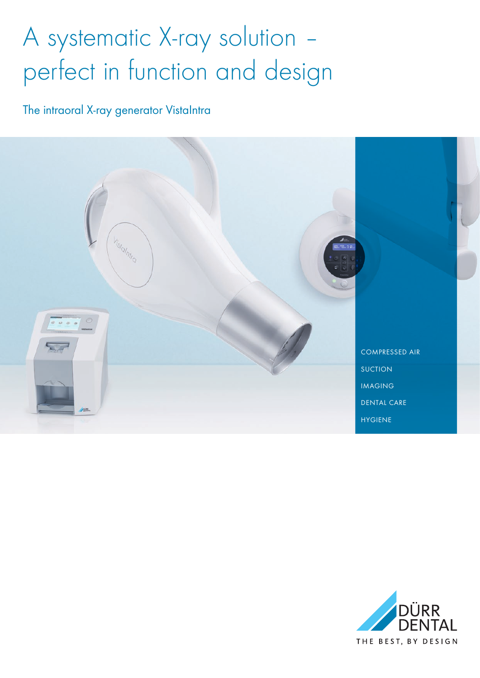# A systematic X-ray solution – perfect in function and design

The intraoral X-ray generator VistaIntra



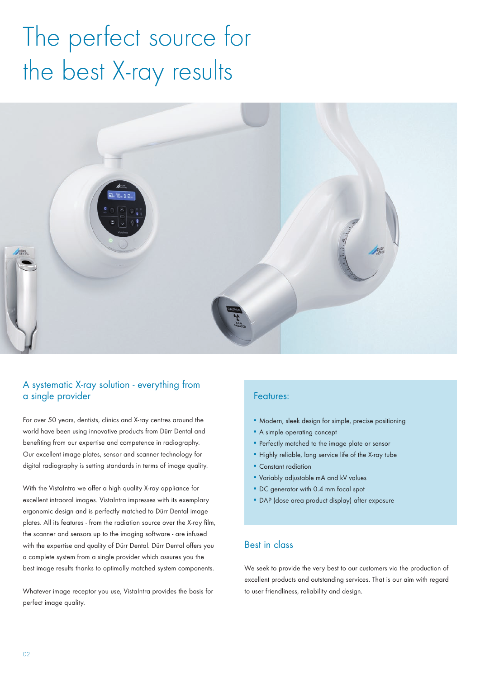# The perfect source for the best X-ray results



#### A systematic X-ray solution - everything from a single provider

For over 50 years, dentists, clinics and X-ray centres around the world have been using innovative products from Dürr Dental and benefiting from our expertise and competence in radiography. Our excellent image plates, sensor and scanner technology for digital radiography is setting standards in terms of image quality.

With the VistaIntra we offer a high quality X-ray appliance for excellent intraoral images. VistaIntra impresses with its exemplary ergonomic design and is perfectly matched to Dürr Dental image plates. All its features - from the radiation source over the X-ray film, the scanner and sensors up to the imaging software - are infused with the expertise and quality of Dürr Dental. Dürr Dental offers you a complete system from a single provider which assures you the best image results thanks to optimally matched system components.

Whatever image receptor you use, VistaIntra provides the basis for perfect image quality.

#### Features:

- **Modern, sleek design for simple, precise positioning**
- **A** simple operating concept
- Perfectly matched to the image plate or sensor
- Highly reliable, long service life of the X-ray tube
- Constant radiation
- **Variably adjustable mA and kV values**
- DC generator with 0.4 mm focal spot
- **DAP** (dose area product display) after exposure

#### Best in class

We seek to provide the very best to our customers via the production of excellent products and outstanding services. That is our aim with regard to user friendliness, reliability and design.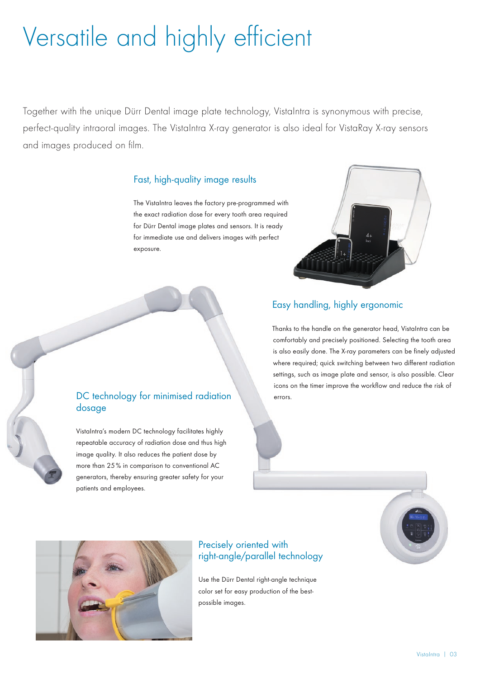# Versatile and highly efficient

Together with the unique Dürr Dental image plate technology, VistaIntra is synonymous with precise, perfect-quality intraoral images. The VistaIntra X-ray generator is also ideal for VistaRay X-ray sensors and images produced on film.

#### Fast, high-quality image results

The VistaIntra leaves the factory pre-programmed with the exact radiation dose for every tooth area required for Dürr Dental image plates and sensors. It is ready for immediate use and delivers images with perfect exposure.



### Easy handling, highly ergonomic

Thanks to the handle on the generator head, VistaIntra can be comfortably and precisely positioned. Selecting the tooth area is also easily done. The X-ray parameters can be finely adjusted where required; quick switching between two different radiation settings, such as image plate and sensor, is also possible. Clear icons on the timer improve the workflow and reduce the risk of

#### DC technology for minimised radiation errors. dosage

VistaIntra's modern DC technology facilitates highly repeatable accuracy of radiation dose and thus high image quality. It also reduces the patient dose by more than 25% in comparison to conventional AC generators, thereby ensuring greater safety for your patients and employees.



#### Precisely oriented with right-angle/parallel technology

Use the Dürr Dental right-angle technique color set for easy production of the bestpossible images.